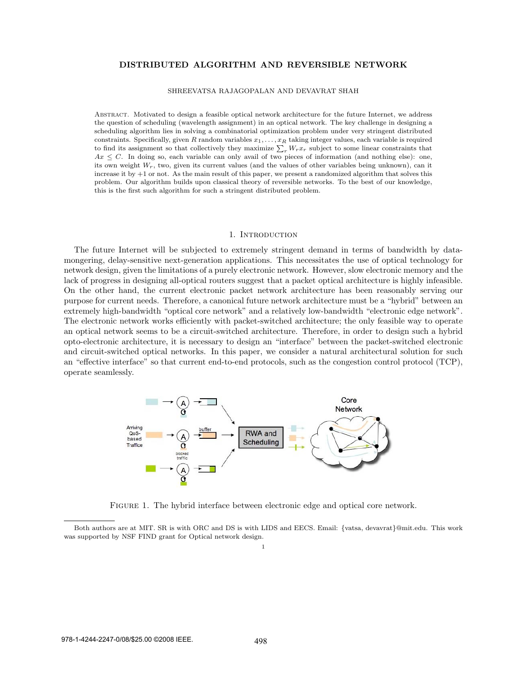# DISTRIBUTED ALGORITHM AND REVERSIBLE NETWORK

#### SHREEVATSA RAJAGOPALAN AND DEVAVRAT SHAH

Abstract. Motivated to design a feasible optical network architecture for the future Internet, we address the question of scheduling (wavelength assignment) in an optical network. The key challenge in designing a scheduling algorithm lies in solving a combinatorial optimization problem under very stringent distributed constraints. Specifically, given R random variables  $x_1, \ldots, x_R$  taking integer values, each variable is required to find its assignment so that collectively they maximize  $\sum_r W_rx_r$  subject to some linear constraints that  $Ax \leq C$ . In doing so, each variable can only avail of two pieces of information (and nothing else): one, its own weight  $W_r$ , two, given its current values (and the values of other variables being unknown), can it increase it by +1 or not. As the main result of this paper, we present a randomized algorithm that solves this problem. Our algorithm builds upon classical theory of reversible networks. To the best of our knowledge, this is the first such algorithm for such a stringent distributed problem.

### 1. INTRODUCTION

The future Internet will be subjected to extremely stringent demand in terms of bandwidth by datamongering, delay-sensitive next-generation applications. This necessitates the use of optical technology for network design, given the limitations of a purely electronic network. However, slow electronic memory and the lack of progress in designing all-optical routers suggest that a packet optical architecture is highly infeasible. On the other hand, the current electronic packet network architecture has been reasonably serving our purpose for current needs. Therefore, a canonical future network architecture must be a "hybrid" between an extremely high-bandwidth "optical core network" and a relatively low-bandwidth "electronic edge network". The electronic network works efficiently with packet-switched architecture; the only feasible way to operate an optical network seems to be a circuit-switched architecture. Therefore, in order to design such a hybrid opto-electronic architecture, it is necessary to design an "interface" between the packet-switched electronic and circuit-switched optical networks. In this paper, we consider a natural architectural solution for such an "effective interface" so that current end-to-end protocols, such as the congestion control protocol (TCP), operate seamlessly.



Figure 1. The hybrid interface between electronic edge and optical core network.

Both authors are at MIT. SR is with ORC and DS is with LIDS and EECS. Email: {vatsa, devavrat}@mit.edu. This work was supported by NSF FIND grant for Optical network design.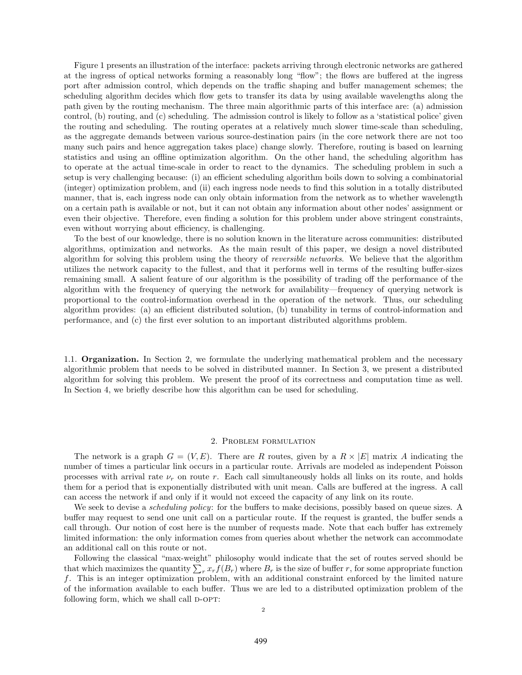Figure 1 presents an illustration of the interface: packets arriving through electronic networks are gathered at the ingress of optical networks forming a reasonably long "flow"; the flows are buffered at the ingress port after admission control, which depends on the traffic shaping and buffer management schemes; the scheduling algorithm decides which flow gets to transfer its data by using available wavelengths along the path given by the routing mechanism. The three main algorithmic parts of this interface are: (a) admission control, (b) routing, and (c) scheduling. The admission control is likely to follow as a 'statistical police' given the routing and scheduling. The routing operates at a relatively much slower time-scale than scheduling, as the aggregate demands between various source-destination pairs (in the core network there are not too many such pairs and hence aggregation takes place) change slowly. Therefore, routing is based on learning statistics and using an offline optimization algorithm. On the other hand, the scheduling algorithm has to operate at the actual time-scale in order to react to the dynamics. The scheduling problem in such a setup is very challenging because: (i) an efficient scheduling algorithm boils down to solving a combinatorial (integer) optimization problem, and (ii) each ingress node needs to find this solution in a totally distributed manner, that is, each ingress node can only obtain information from the network as to whether wavelength on a certain path is available or not, but it can not obtain any information about other nodes' assignment or even their objective. Therefore, even finding a solution for this problem under above stringent constraints, even without worrying about efficiency, is challenging.

To the best of our knowledge, there is no solution known in the literature across communities: distributed algorithms, optimization and networks. As the main result of this paper, we design a novel distributed algorithm for solving this problem using the theory of *reversible networks*. We believe that the algorithm utilizes the network capacity to the fullest, and that it performs well in terms of the resulting buffer-sizes remaining small. A salient feature of our algorithm is the possibility of trading off the performance of the algorithm with the frequency of querying the network for availability—frequency of querying network is proportional to the control-information overhead in the operation of the network. Thus, our scheduling algorithm provides: (a) an efficient distributed solution, (b) tunability in terms of control-information and performance, and (c) the first ever solution to an important distributed algorithms problem.

1.1. Organization. In Section 2, we formulate the underlying mathematical problem and the necessary algorithmic problem that needs to be solved in distributed manner. In Section 3, we present a distributed algorithm for solving this problem. We present the proof of its correctness and computation time as well. In Section 4, we briefly describe how this algorithm can be used for scheduling.

## 2. Problem formulation

The network is a graph  $G = (V, E)$ . There are R routes, given by a  $R \times |E|$  matrix A indicating the number of times a particular link occurs in a particular route. Arrivals are modeled as independent Poisson processes with arrival rate  $\nu_r$  on route r. Each call simultaneously holds all links on its route, and holds them for a period that is exponentially distributed with unit mean. Calls are buffered at the ingress. A call can access the network if and only if it would not exceed the capacity of any link on its route.

We seek to devise a *scheduling policy*: for the buffers to make decisions, possibly based on queue sizes. A buffer may request to send one unit call on a particular route. If the request is granted, the buffer sends a call through. Our notion of cost here is the number of requests made. Note that each buffer has extremely limited information: the only information comes from queries about whether the network can accommodate an additional call on this route or not.

Following the classical "max-weight" philosophy would indicate that the set of routes served should be that which maximizes the quantity  $\sum_r x_r f(B_r)$  where  $B_r$  is the size of buffer r, for some appropriate function f. This is an integer optimization problem, with an additional constraint enforced by the limited nature of the information available to each buffer. Thus we are led to a distributed optimization problem of the following form, which we shall call  $D$ -OPT: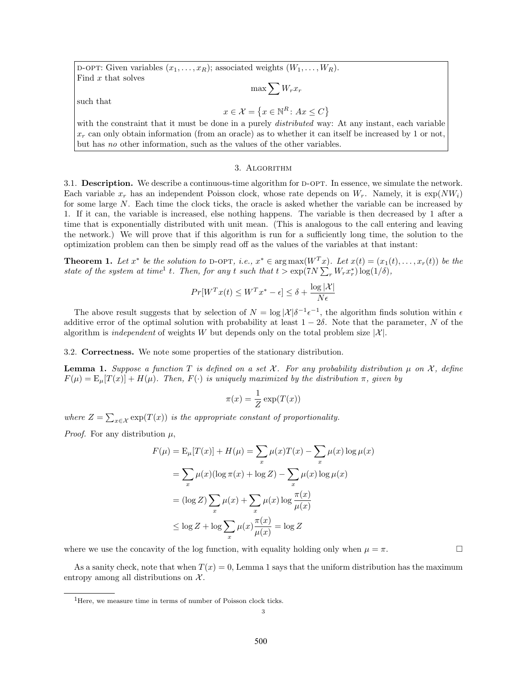D-OPT: Given variables  $(x_1, \ldots, x_R)$ ; associated weights  $(W_1, \ldots, W_R)$ . Find x that solves

 $\max \sum W_r x_r$ 

such that

 $x \in \mathcal{X} = \{x \in \mathbb{N}^R \colon Ax \leq C\}$ 

with the constraint that it must be done in a purely *distributed* way: At any instant, each variable  $x_r$  can only obtain information (from an oracle) as to whether it can itself be increased by 1 or not, but has no other information, such as the values of the other variables.

### 3. Algorithm

3.1. Description. We describe a continuous-time algorithm for D-OPT. In essence, we simulate the network. Each variable  $x_r$  has an independent Poisson clock, whose rate depends on  $W_r$ . Namely, it is  $\exp(NW_i)$ for some large N. Each time the clock ticks, the oracle is asked whether the variable can be increased by 1. If it can, the variable is increased, else nothing happens. The variable is then decreased by 1 after a time that is exponentially distributed with unit mean. (This is analogous to the call entering and leaving the network.) We will prove that if this algorithm is run for a sufficiently long time, the solution to the optimization problem can then be simply read off as the values of the variables at that instant:

**Theorem 1.** Let  $x^*$  be the solution to D-OPT, i.e.,  $x^* \in \arg \max (W^T x)$ . Let  $x(t) = (x_1(t), \ldots, x_r(t))$  be the state of the system at time<sup>1</sup> t. Then, for any t such that  $t > \exp(TN \sum_{r} W_r x_r^*) \log(1/\delta)$ ,

$$
Pr[W^T x(t) \le W^T x^* - \epsilon] \le \delta + \frac{\log |\mathcal{X}|}{N\epsilon}
$$

The above result suggests that by selection of  $N = \log |\mathcal{X}| \delta^{-1} \epsilon^{-1}$ , the algorithm finds solution within  $\epsilon$ additive error of the optimal solution with probability at least  $1 - 2\delta$ . Note that the parameter, N of the algorithm is *independent* of weights W but depends only on the total problem size  $|\mathcal{X}|$ .

3.2. Correctness. We note some properties of the stationary distribution.

**Lemma 1.** Suppose a function T is defined on a set X. For any probability distribution  $\mu$  on X, define  $F(\mu) = E_{\mu}[T(x)] + H(\mu)$ . Then,  $F(\cdot)$  is uniquely maximized by the distribution  $\pi$ , given by

$$
\pi(x) = \frac{1}{Z} \exp(T(x))
$$

where  $Z = \sum_{x \in \mathcal{X}} \exp(T(x))$  is the appropriate constant of proportionality.

*Proof.* For any distribution  $\mu$ ,

$$
F(\mu) = \mathbb{E}_{\mu}[T(x)] + H(\mu) = \sum_{x} \mu(x)T(x) - \sum_{x} \mu(x) \log \mu(x)
$$

$$
= \sum_{x} \mu(x) (\log \pi(x) + \log Z) - \sum_{x} \mu(x) \log \mu(x)
$$

$$
= (\log Z) \sum_{x} \mu(x) + \sum_{x} \mu(x) \log \frac{\pi(x)}{\mu(x)}
$$

$$
\leq \log Z + \log \sum_{x} \mu(x) \frac{\pi(x)}{\mu(x)} = \log Z
$$

where we use the concavity of the log function, with equality holding only when  $\mu = \pi$ .

As a sanity check, note that when  $T(x) = 0$ , Lemma 1 says that the uniform distribution has the maximum entropy among all distributions on  $\mathcal{X}$ .

<sup>&</sup>lt;sup>1</sup>Here, we measure time in terms of number of Poisson clock ticks.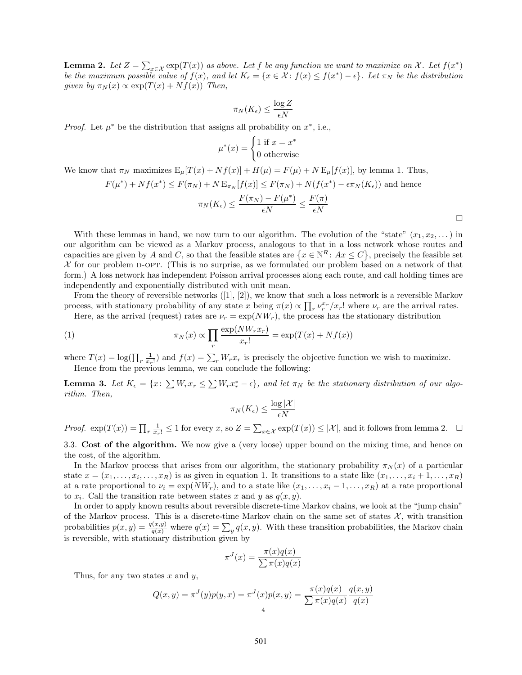**Lemma 2.** Let  $Z = \sum_{x \in \mathcal{X}} \exp(T(x))$  as above. Let f be any function we want to maximize on X. Let  $f(x^*)$ be the maximum possible value of  $f(x)$ , and let  $K_{\epsilon} = \{x \in \mathcal{X} : f(x) \leq f(x^*) - \epsilon\}$ . Let  $\pi_N$  be the distribution given by  $\pi_N(x) \propto \exp(T(x) + Nf(x))$  Then,

$$
\pi_N(K_\epsilon) \leq \frac{\log Z}{\epsilon N}
$$

*Proof.* Let  $\mu^*$  be the distribution that assigns all probability on  $x^*$ , i.e.,

$$
\mu^*(x) = \begin{cases} 1 \text{ if } x = x^* \\ 0 \text{ otherwise} \end{cases}
$$

We know that  $\pi_N$  maximizes  $E_\mu[T(x) + Nf(x)] + H(\mu) = F(\mu) + N E_\mu[f(x)]$ , by lemma 1. Thus,

$$
F(\mu^*) + Nf(x^*) \le F(\pi_N) + N E_{\pi_N}[f(x)] \le F(\pi_N) + N(f(x^*) - \epsilon \pi_N(K_{\epsilon}))
$$
 and hence  

$$
\pi_N(K_{\epsilon}) \le \frac{F(\pi_N) - F(\mu^*)}{\epsilon N} \le \frac{F(\pi)}{\epsilon N}
$$

 $\Box$ 

With these lemmas in hand, we now turn to our algorithm. The evolution of the "state"  $(x_1, x_2, \ldots)$  in our algorithm can be viewed as a Markov process, analogous to that in a loss network whose routes and capacities are given by A and C, so that the feasible states are  $\{x \in \mathbb{N}^R : Ax \leq C\}$ , precisely the feasible set  $X$  for our problem D-OPT. (This is no surprise, as we formulated our problem based on a network of that form.) A loss network has independent Poisson arrival processes along each route, and call holding times are independently and exponentially distributed with unit mean.

From the theory of reversible networks  $([1], [2])$ , we know that such a loss network is a reversible Markov process, with stationary probability of any state x being  $\pi(x) \propto \prod_r \nu_r^{x_r}/x_r!$  where  $\nu_r$  are the arrival rates.

Here, as the arrival (request) rates are  $\nu_r = \exp(NW_r)$ , the process has the stationary distribution

(1) 
$$
\pi_N(x) \propto \prod_r \frac{\exp(NW_r x_r)}{x_r!} = \exp(T(x) + Nf(x))
$$

where  $T(x) = \log(\prod_r \frac{1}{x_r!})$  and  $f(x) = \sum_r W_r x_r$  is precisely the objective function we wish to maximize. Hence from the previous lemma, we can conclude the following:

**Lemma 3.** Let  $K_{\epsilon} = \{x : \sum W_r x_r \leq \sum W_r x_r^* - \epsilon\}$ , and let  $\pi_N$  be the stationary distribution of our algorithm. Then,

$$
\pi_N(K_{\epsilon}) \le \frac{\log |\mathcal{X}|}{\epsilon N}
$$

Proof.  $\exp(T(x)) = \prod_r \frac{1}{x_r!} \le 1$  for every  $x$ , so  $Z = \sum_{x \in \mathcal{X}} \exp(T(x)) \le |\mathcal{X}|$ , and it follows from lemma 2.  $\Box$ 

3.3. Cost of the algorithm. We now give a (very loose) upper bound on the mixing time, and hence on the cost, of the algorithm.

In the Markov process that arises from our algorithm, the stationary probability  $\pi_N(x)$  of a particular state  $x = (x_1, \ldots, x_i, \ldots, x_R)$  is as given in equation 1. It transitions to a state like  $(x_1, \ldots, x_i + 1, \ldots, x_R)$ at a rate proportional to  $\nu_i = \exp(NW_r)$ , and to a state like  $(x_1, \ldots, x_i - 1, \ldots, x_R)$  at a rate proportional to  $x_i$ . Call the transition rate between states x and y as  $q(x, y)$ .

In order to apply known results about reversible discrete-time Markov chains, we look at the "jump chain" of the Markov process. This is a discrete-time Markov chain on the same set of states  $\mathcal{X}$ , with transition probabilities  $p(x, y) = \frac{q(x, y)}{q(x)}$  where  $q(x) = \sum_{y} q(x, y)$ . With these transition probabilities, the Markov chain is reversible, with stationary distribution given by

$$
\pi^{J}(x) = \frac{\pi(x)q(x)}{\sum \pi(x)q(x)}
$$

Thus, for any two states  $x$  and  $y$ ,

$$
Q(x, y) = \pi^{J}(y)p(y, x) = \pi^{J}(x)p(x, y) = \frac{\pi(x)q(x)}{\sum \pi(x)q(x)} \frac{q(x, y)}{q(x)}
$$